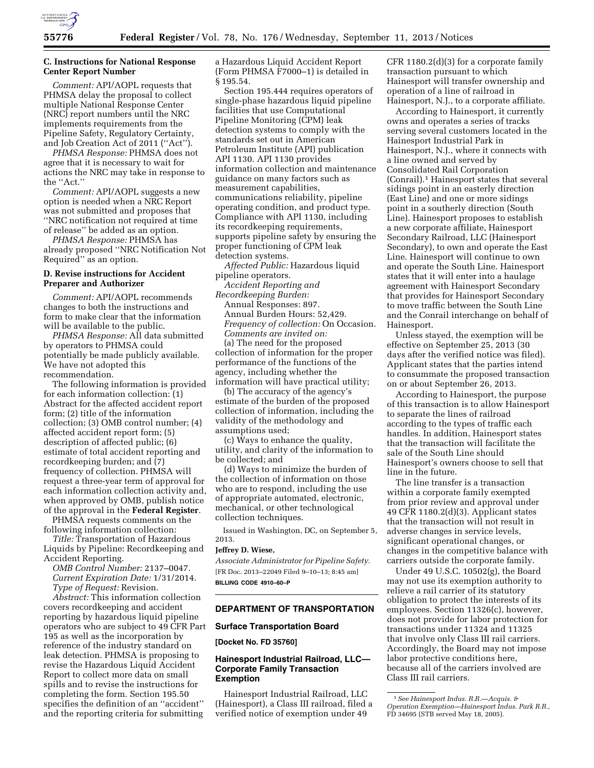

# **C. Instructions for National Response Center Report Number**

*Comment:* API/AOPL requests that PHMSA delay the proposal to collect multiple National Response Center (NRC) report numbers until the NRC implements requirements from the Pipeline Safety, Regulatory Certainty, and Job Creation Act of 2011 (''Act'').

*PHMSA Response:* PHMSA does not agree that it is necessary to wait for actions the NRC may take in response to the ''Act.''

*Comment:* API/AOPL suggests a new option is needed when a NRC Report was not submitted and proposes that ''NRC notification not required at time of release'' be added as an option.

*PHMSA Response:* PHMSA has already proposed ''NRC Notification Not Required'' as an option.

### **D. Revise instructions for Accident Preparer and Authorizer**

*Comment:* API/AOPL recommends changes to both the instructions and form to make clear that the information will be available to the public.

*PHMSA Response:* All data submitted by operators to PHMSA could potentially be made publicly available. We have not adopted this recommendation.

The following information is provided for each information collection: (1) Abstract for the affected accident report form; (2) title of the information collection; (3) OMB control number; (4) affected accident report form; (5) description of affected public; (6) estimate of total accident reporting and recordkeeping burden; and (7) frequency of collection. PHMSA will request a three-year term of approval for each information collection activity and, when approved by OMB, publish notice of the approval in the **Federal Register**.

PHMSA requests comments on the following information collection:

*Title:* Transportation of Hazardous Liquids by Pipeline: Recordkeeping and Accident Reporting.

*OMB Control Number:* 2137–0047. *Current Expiration Date:* 1/31/2014. *Type of Request:* Revision.

*Abstract:* This information collection covers recordkeeping and accident reporting by hazardous liquid pipeline operators who are subject to 49 CFR Part 195 as well as the incorporation by reference of the industry standard on leak detection. PHMSA is proposing to revise the Hazardous Liquid Accident Report to collect more data on small spills and to revise the instructions for completing the form. Section 195.50 specifies the definition of an ''accident'' and the reporting criteria for submitting

a Hazardous Liquid Accident Report (Form PHMSA F7000–1) is detailed in § 195.54.

Section 195.444 requires operators of single-phase hazardous liquid pipeline facilities that use Computational Pipeline Monitoring (CPM) leak detection systems to comply with the standards set out in American Petroleum Institute (API) publication API 1130. API 1130 provides information collection and maintenance guidance on many factors such as measurement capabilities, communications reliability, pipeline operating condition, and product type. Compliance with API 1130, including its recordkeeping requirements, supports pipeline safety by ensuring the proper functioning of CPM leak detection systems.

*Affected Public:* Hazardous liquid pipeline operators.

*Accident Reporting and* 

*Recordkeeping Burden:*  Annual Responses: 897. Annual Burden Hours: 52,429. *Frequency of collection:* On Occasion. *Comments are invited on:* 

(a) The need for the proposed collection of information for the proper performance of the functions of the agency, including whether the information will have practical utility;

(b) The accuracy of the agency's estimate of the burden of the proposed collection of information, including the validity of the methodology and assumptions used;

(c) Ways to enhance the quality, utility, and clarity of the information to be collected; and

(d) Ways to minimize the burden of the collection of information on those who are to respond, including the use of appropriate automated, electronic, mechanical, or other technological collection techniques.

Issued in Washington, DC, on September 5, 2013.

#### **Jeffrey D. Wiese,**

*Associate Administrator for Pipeline Safety.*  [FR Doc. 2013–22049 Filed 9–10–13; 8:45 am] **BILLING CODE 4910–60–P** 

### **DEPARTMENT OF TRANSPORTATION**

#### **Surface Transportation Board**

**[Docket No. FD 35760]** 

### **Hainesport Industrial Railroad, LLC— Corporate Family Transaction Exemption**

Hainesport Industrial Railroad, LLC (Hainesport), a Class III railroad, filed a verified notice of exemption under 49

CFR 1180.2(d)(3) for a corporate family transaction pursuant to which Hainesport will transfer ownership and operation of a line of railroad in Hainesport, N.J., to a corporate affiliate.

According to Hainesport, it currently owns and operates a series of tracks serving several customers located in the Hainesport Industrial Park in Hainesport, N.J., where it connects with a line owned and served by Consolidated Rail Corporation (Conrail).1 Hainesport states that several sidings point in an easterly direction (East Line) and one or more sidings point in a southerly direction (South Line). Hainesport proposes to establish a new corporate affiliate, Hainesport Secondary Railroad, LLC (Hainesport Secondary), to own and operate the East Line. Hainesport will continue to own and operate the South Line. Hainesport states that it will enter into a haulage agreement with Hainesport Secondary that provides for Hainesport Secondary to move traffic between the South Line and the Conrail interchange on behalf of Hainesport.

Unless stayed, the exemption will be effective on September 25, 2013 (30 days after the verified notice was filed). Applicant states that the parties intend to consummate the proposed transaction on or about September 26, 2013.

According to Hainesport, the purpose of this transaction is to allow Hainesport to separate the lines of railroad according to the types of traffic each handles. In addition, Hainesport states that the transaction will facilitate the sale of the South Line should Hainesport's owners choose to sell that line in the future.

The line transfer is a transaction within a corporate family exempted from prior review and approval under 49 CFR 1180.2(d)(3). Applicant states that the transaction will not result in adverse changes in service levels, significant operational changes, or changes in the competitive balance with carriers outside the corporate family.

Under 49 U.S.C. 10502(g), the Board may not use its exemption authority to relieve a rail carrier of its statutory obligation to protect the interests of its employees. Section 11326(c), however, does not provide for labor protection for transactions under 11324 and 11325 that involve only Class III rail carriers. Accordingly, the Board may not impose labor protective conditions here, because all of the carriers involved are Class III rail carriers.

<sup>1</sup>*See Hainesport Indus. R.R.—Acquis. & Operation Exemption—Hainesport Indus. Park R.R.,*   $\overrightarrow{FD}$  34695 (STB served May 18, 2005).